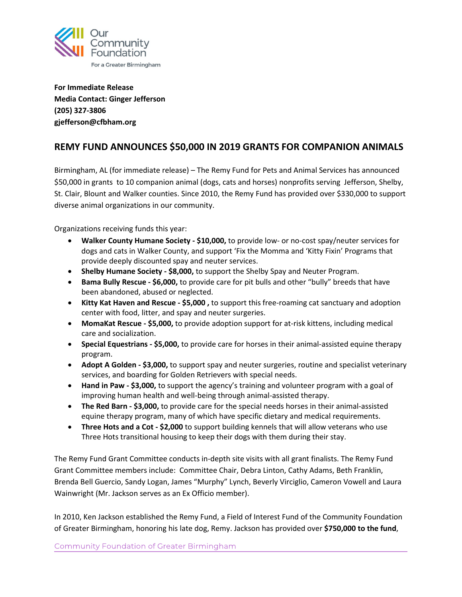

**For Immediate Release Media Contact: Ginger Jefferson (205) 327-3806 gjefferson@cfbham.org** 

## **REMY FUND ANNOUNCES \$50,000 IN 2019 GRANTS FOR COMPANION ANIMALS**

Birmingham, AL (for immediate release) – The Remy Fund for Pets and Animal Services has announced \$50,000 in grants to 10 companion animal (dogs, cats and horses) nonprofits serving Jefferson, Shelby, St. Clair, Blount and Walker counties. Since 2010, the Remy Fund has provided over \$330,000 to support diverse animal organizations in our community.

Organizations receiving funds this year:

- **Walker County Humane Society - \$10,000,** to provide low- or no-cost spay/neuter services for dogs and cats in Walker County, and support 'Fix the Momma and 'Kitty Fixin' Programs that provide deeply discounted spay and neuter services.
- **Shelby Humane Society - \$8,000,** to support the Shelby Spay and Neuter Program.
- **Bama Bully Rescue - \$6,000,** to provide care for pit bulls and other "bully" breeds that have been abandoned, abused or neglected.
- **Kitty Kat Haven and Rescue - \$5,000 ,** to support this free-roaming cat sanctuary and adoption center with food, litter, and spay and neuter surgeries.
- **MomaKat Rescue - \$5,000,** to provide adoption support for at-risk kittens, including medical care and socialization.
- **Special Equestrians - \$5,000,** to provide care for horses in their animal-assisted equine therapy program.
- **Adopt A Golden - \$3,000,** to support spay and neuter surgeries, routine and specialist veterinary services, and boarding for Golden Retrievers with special needs.
- **Hand in Paw - \$3,000,** to support the agency's training and volunteer program with a goal of improving human health and well-being through animal-assisted therapy.
- **The Red Barn - \$3,000,** to provide care for the special needs horses in their animal-assisted equine therapy program, many of which have specific dietary and medical requirements.
- **Three Hots and a Cot - \$2,000** to support building kennels that will allow veterans who use Three Hots transitional housing to keep their dogs with them during their stay.

The Remy Fund Grant Committee conducts in-depth site visits with all grant finalists. The Remy Fund Grant Committee members include: Committee Chair, Debra Linton, Cathy Adams, Beth Franklin, Brenda Bell Guercio, Sandy Logan, James "Murphy" Lynch, Beverly Virciglio, Cameron Vowell and Laura Wainwright (Mr. Jackson serves as an Ex Officio member).

In 2010, Ken Jackson established the Remy Fund, a Field of Interest Fund of the Community Foundation of Greater Birmingham, honoring his late dog, Remy. Jackson has provided over **\$750,000 to the fund**,

**Community Foundation of Greater Birmingham**